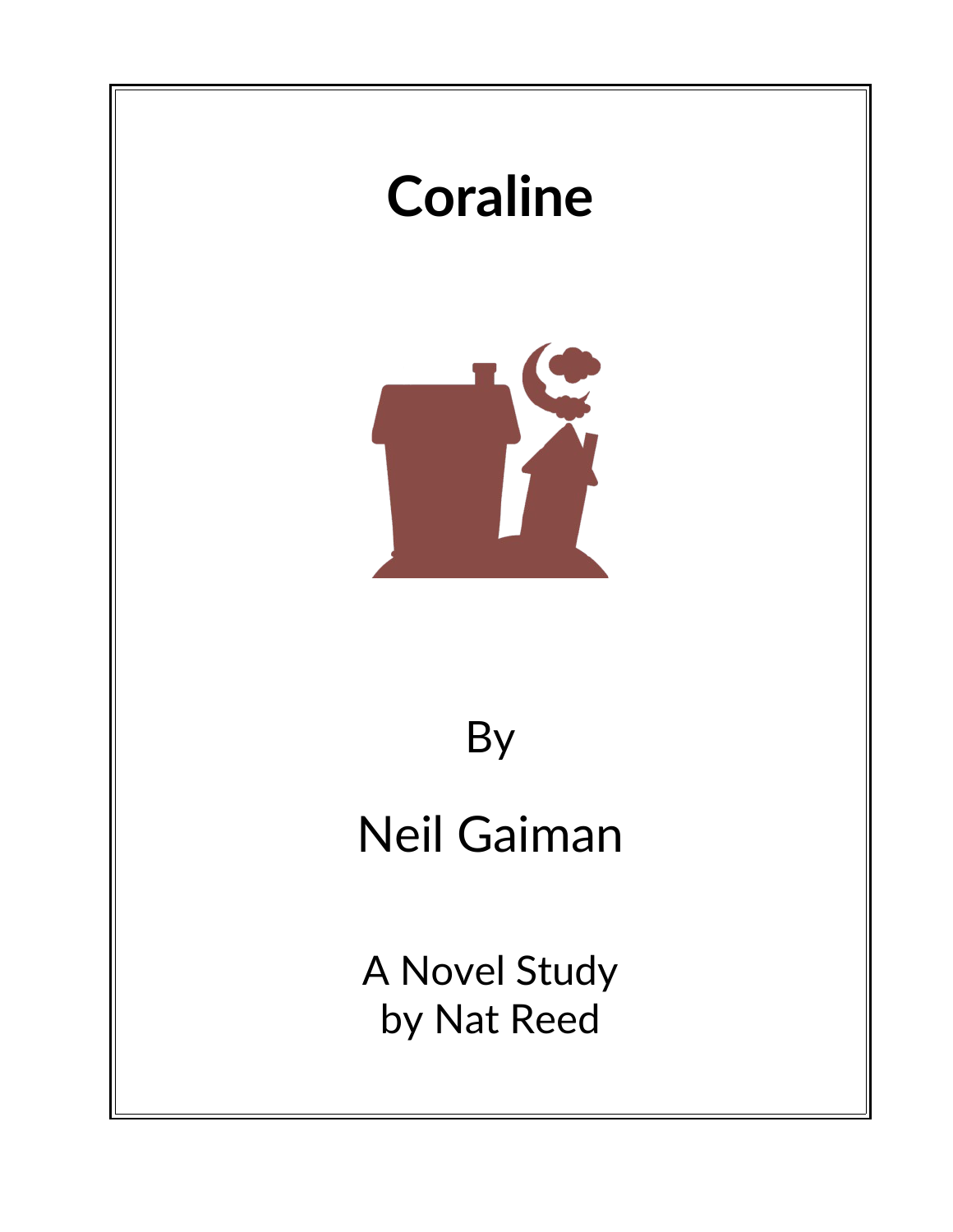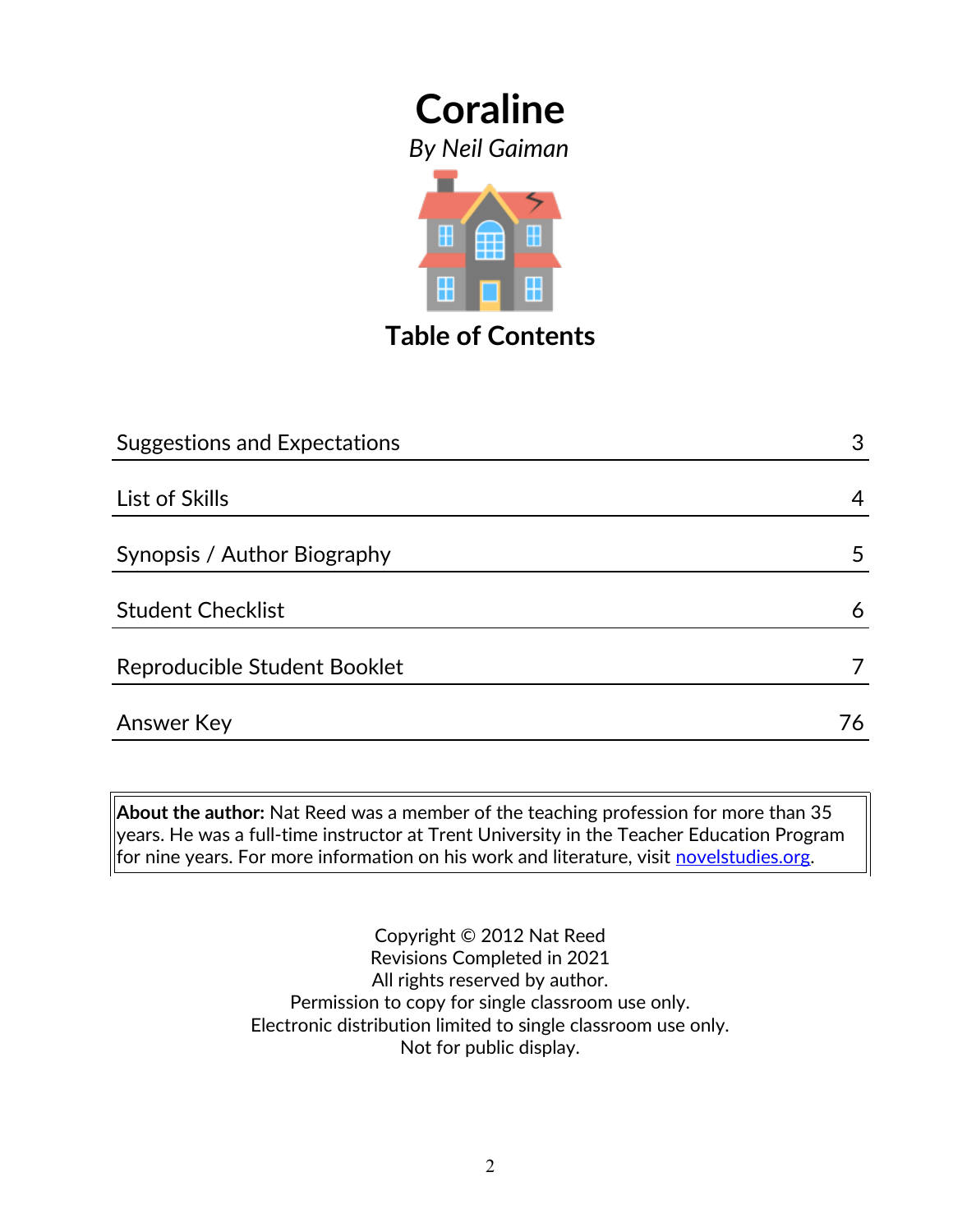*By Neil Gaiman*



**Table of Contents**

| <b>Suggestions and Expectations</b> | 3  |
|-------------------------------------|----|
|                                     |    |
| List of Skills                      | 4  |
| Synopsis / Author Biography         | 5  |
| <b>Student Checklist</b>            | 6  |
| Reproducible Student Booklet        |    |
| <b>Answer Key</b>                   | 76 |

**About the author:** Nat Reed was a member of the teaching profession for more than 35 years. He was a full-time instructor at Trent University in the Teacher Education Program for nine years. For more information on his work and literature, visit [novelstudies.org.](http://www.novelstudies.org/)

> Copyright © 2012 Nat Reed Revisions Completed in 2021 All rights reserved by author. Permission to copy for single classroom use only. Electronic distribution limited to single classroom use only. Not for public display.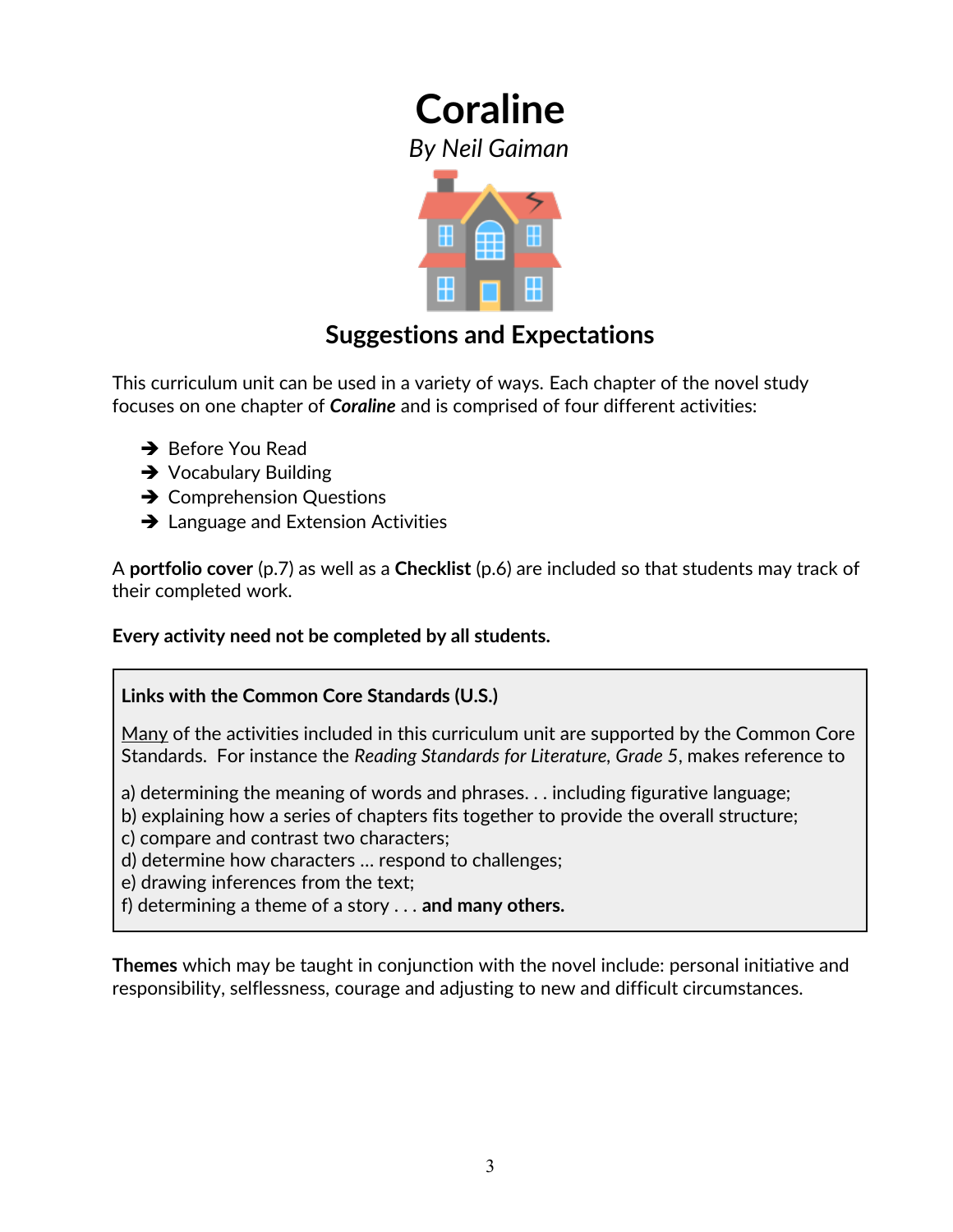*By Neil Gaiman*



### **Suggestions and Expectations**

This curriculum unit can be used in a variety of ways. Each chapter of the novel study focuses on one chapter of *Coraline* and is comprised of four different activities:

- **→** Before You Read
- **→** Vocabulary Building
- **→ Comprehension Questions**
- **→** Language and Extension Activities

A **portfolio cover** (p.7) as well as a **Checklist** (p.6) are included so that students may track of their completed work.

**Every activity need not be completed by all students.** 

#### **Links with the Common Core Standards (U.S.)**

Many of the activities included in this curriculum unit are supported by the Common Core Standards. For instance the *Reading Standards for Literature, Grade 5*, makes reference to

a) determining the meaning of words and phrases. . . including figurative language;

b) explaining how a series of chapters fits together to provide the overall structure;

c) compare and contrast two characters;

d) determine how characters … respond to challenges;

e) drawing inferences from the text;

f) determining a theme of a story . . . **and many others.**

**Themes** which may be taught in conjunction with the novel include: personal initiative and responsibility, selflessness, courage and adjusting to new and difficult circumstances.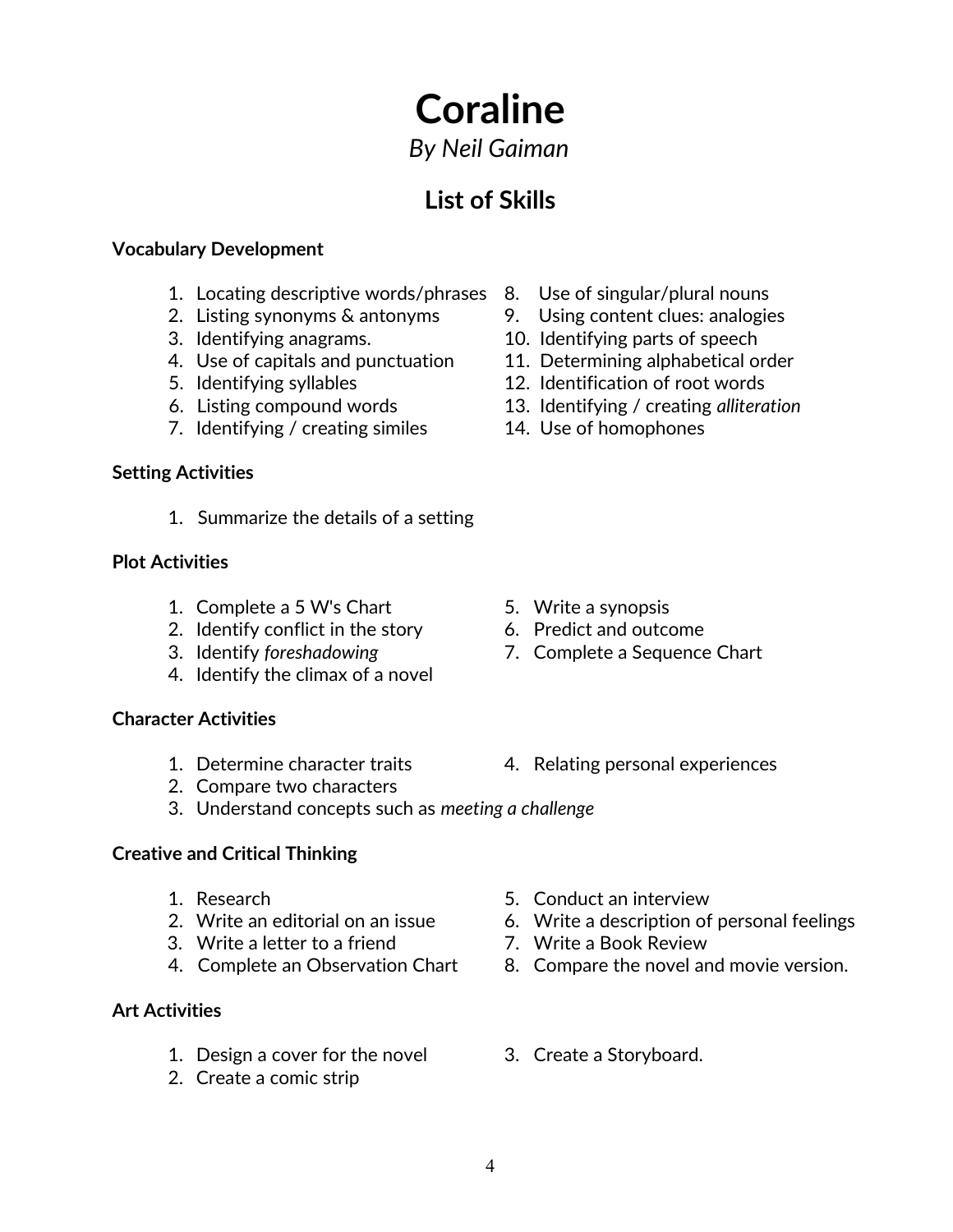*By Neil Gaiman*

### **List of Skills**

#### **Vocabulary Development**

- 1. Locating descriptive words/phrases 8. Use of singular/plural nouns
- 
- 
- 4. Use of capitals and punctuation 11. Determining alphabetical order
- 
- 
- 7. Identifying / creating similes 14. Use of homophones

#### **Setting Activities**

1. Summarize the details of a setting

#### **Plot Activities**

- 1. Complete a 5 W's Chart 5. Write a synopsis
- 2. Identify conflict in the story 6. Predict and outcome
- 
- 4. Identify the climax of a novel

#### **Character Activities**

- 
- 2. Compare two characters
- 3. Understand concepts such as *meeting a challenge*

#### **Creative and Critical Thinking**

- 
- 
- 3. Write a letter to a friend 7. Write a Book Review
- 

#### **Art Activities**

- 1. Design a cover for the novel 3. Create a Storyboard.
- 2. Create a comic strip
- 
- 2. Listing synonyms & antonyms 9. Using content clues: analogies
- 3. Identifying anagrams. 10. Identifying parts of speech
	-
- 5. Identifying syllables 12. Identification of root words
- 6. Listing compound words 13. Identifying / creating *alliteration*
	-

- 
- 
- 3. Identify *foreshadowing* 7. Complete a Sequence Chart
- 1. Determine character traits 4. Relating personal experiences
- 1. Research 5. Conduct an interview
- 2. Write an editorial on an issue 6. Write a description of personal feelings
	-
- 4. Complete an Observation Chart 8. Compare the novel and movie version.
	-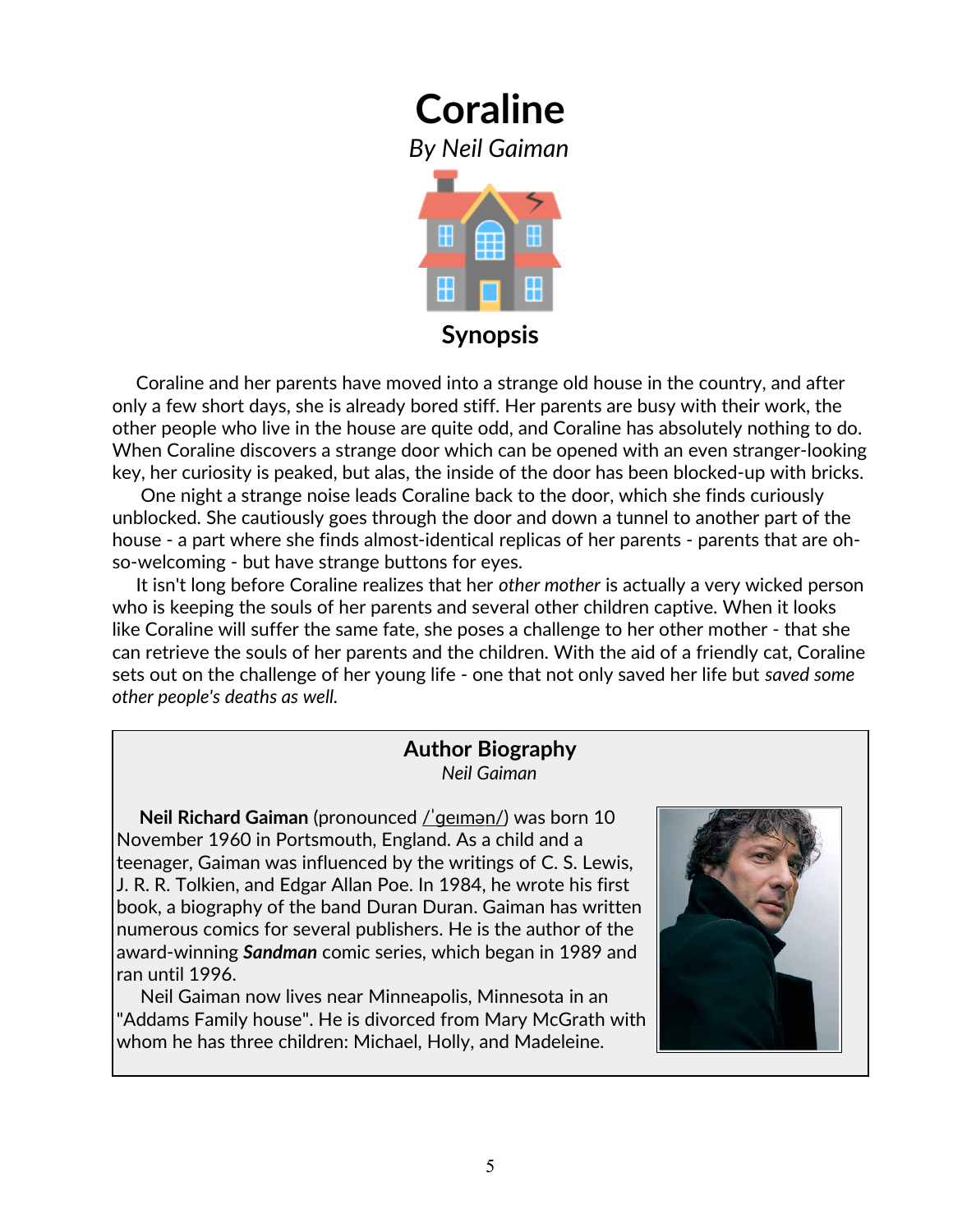

 Coraline and her parents have moved into a strange old house in the country, and after only a few short days, she is already bored stiff. Her parents are busy with their work, the other people who live in the house are quite odd, and Coraline has absolutely nothing to do. When Coraline discovers a strange door which can be opened with an even stranger-looking key, her curiosity is peaked, but alas, the inside of the door has been blocked-up with bricks.

 One night a strange noise leads Coraline back to the door, which she finds curiously unblocked. She cautiously goes through the door and down a tunnel to another part of the house - a part where she finds almost-identical replicas of her parents - parents that are ohso-welcoming - but have strange buttons for eyes.

 It isn't long before Coraline realizes that her *other mother* is actually a very wicked person who is keeping the souls of her parents and several other children captive. When it looks like Coraline will suffer the same fate, she poses a challenge to her other mother - that she can retrieve the souls of her parents and the children. With the aid of a friendly cat, Coraline sets out on the challenge of her young life - one that not only saved her life but *saved some other people's deaths as well.*

#### **Author Biography** *Neil Gaiman*

**Neil Richard Gaiman** (pronounced <u>/'geiman/</u>) was born 10 November 1960 in Portsmouth, England. As a child and a teenager, Gaiman was influenced by the writings of [C. S. Lewis,](http://en.wikipedia.org/wiki/C._S._Lewis) [J. R. R. Tolkien,](http://en.wikipedia.org/wiki/J._R._R._Tolkien) and [Edgar Allan Poe.](http://en.wikipedia.org/wiki/Edgar_Allan_Poe) In 1984, he wrote his first book, a biography of the band [Duran Duran.](http://en.wikipedia.org/wiki/Duran_Duran) Gaiman has written numerous comics for several publishers. He is the author of the award-winning *Sandman* comic series, which began in 1989 and ran until 1996.

 Neil Gaiman now lives near [Minneapolis, Minnesota](http://en.wikipedia.org/wiki/Minneapolis,_Minnesota) in an ["Addams Family house"](http://en.wikipedia.org/wiki/Addams_Family#The_Mansion). He is divorced from Mary McGrath with whom he has three children: Michael, Holly, and Madeleine.

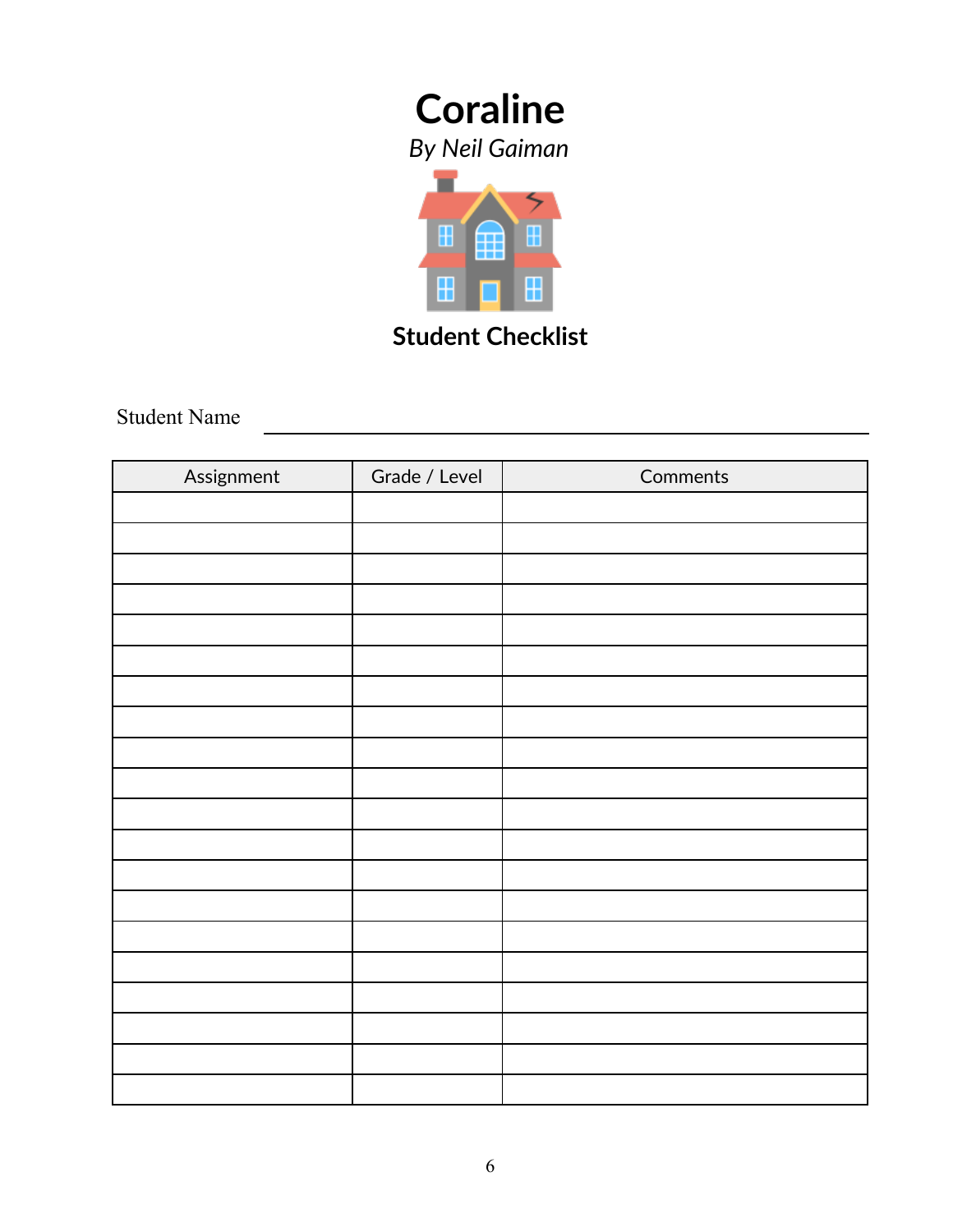*By Neil Gaiman*



**Student Checklist**

Student Name

| Assignment | Grade / Level | Comments |
|------------|---------------|----------|
|            |               |          |
|            |               |          |
|            |               |          |
|            |               |          |
|            |               |          |
|            |               |          |
|            |               |          |
|            |               |          |
|            |               |          |
|            |               |          |
|            |               |          |
|            |               |          |
|            |               |          |
|            |               |          |
|            |               |          |
|            |               |          |
|            |               |          |
|            |               |          |
|            |               |          |
|            |               |          |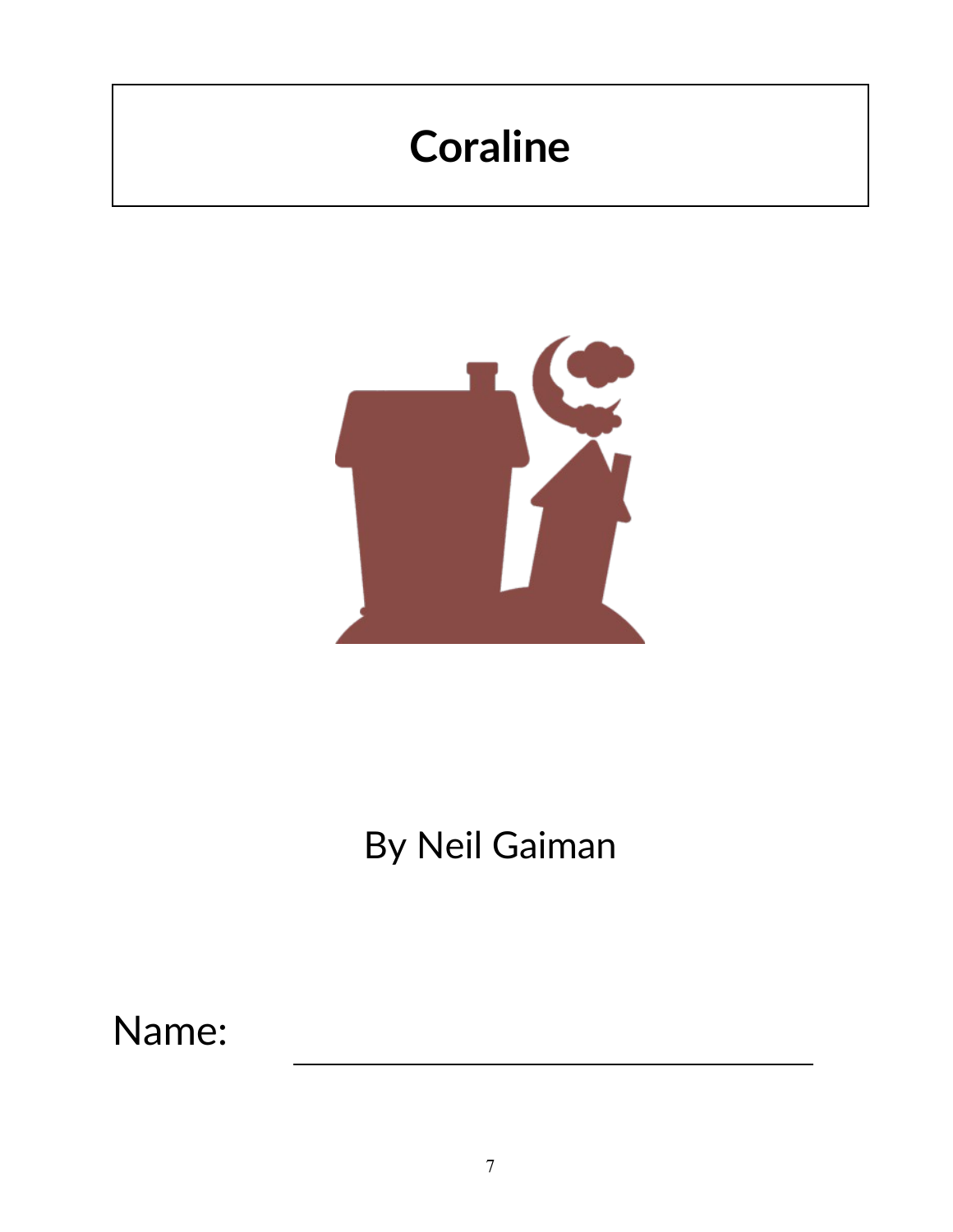

# By Neil Gaiman

Name: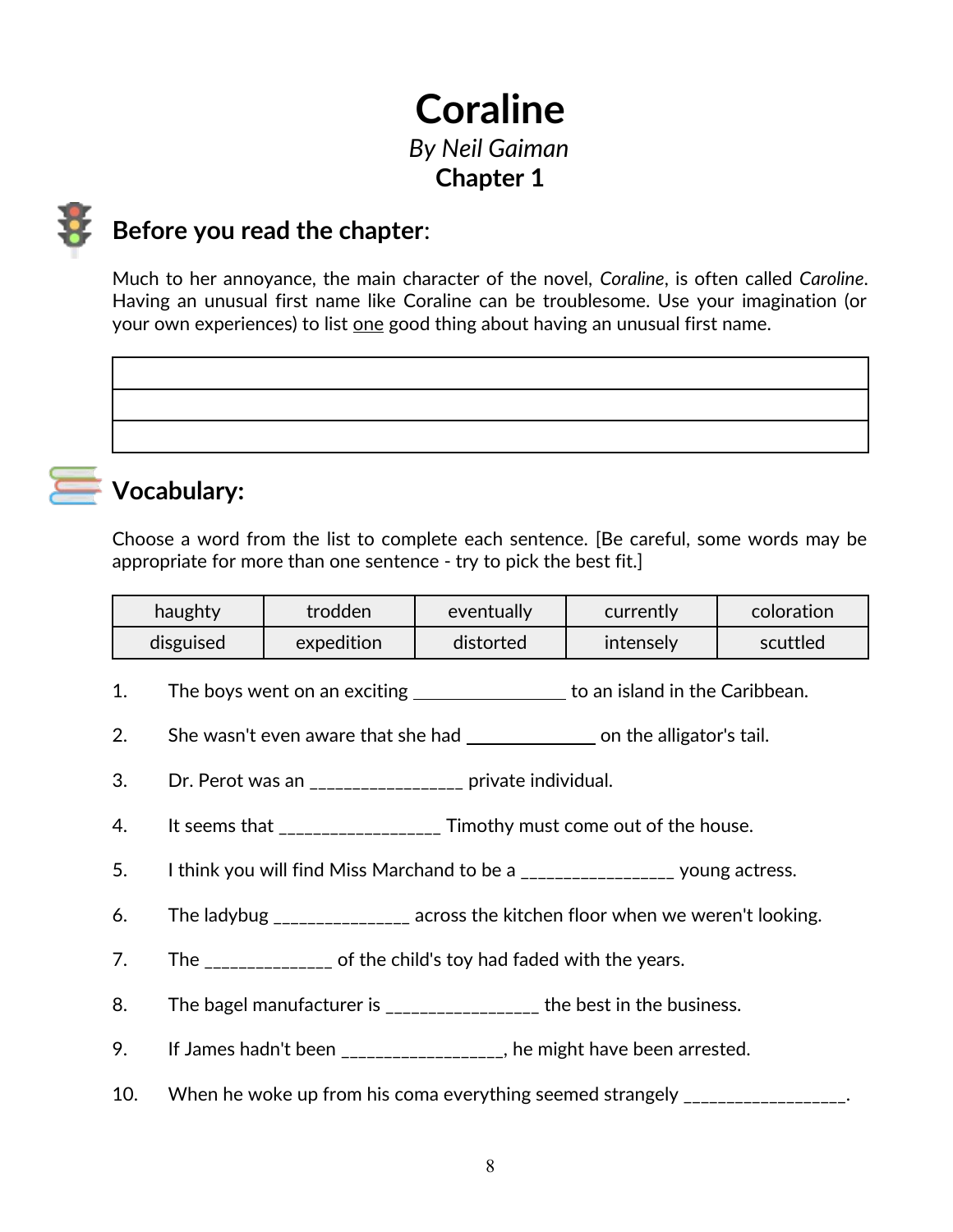## **Coraline** *By Neil Gaiman* **Chapter 1**



### **Before you read the chapter**:

Much to her annoyance, the main character of the novel, *Coraline*, is often called *Caroline*. Having an unusual first name like Coraline can be troublesome. Use your imagination (or your own experiences) to list one good thing about having an unusual first name.



### **Vocabulary:**

Choose a word from the list to complete each sentence. [Be careful, some words may be appropriate for more than one sentence - try to pick the best fit.]

| haughty   | trodden    | eventually | currently | coloration |
|-----------|------------|------------|-----------|------------|
| disguised | expedition | distorted  | intenselv | scuttled   |

- 1. The boys went on an exciting \_\_\_\_\_\_\_\_\_\_\_\_\_\_\_\_ to an island in the Caribbean.
- 2. She wasn't even aware that she had **concent and solution** on the alligator's tail.
- 3. Dr. Perot was an \_\_\_\_\_\_\_\_\_\_\_\_\_\_\_\_\_\_ private individual.
- 4. It seems that \_\_\_\_\_\_\_\_\_\_\_\_\_\_\_\_\_\_\_ Timothy must come out of the house.
- 5. I think you will find Miss Marchand to be a \_\_\_\_\_\_\_\_\_\_\_\_\_\_\_\_\_\_\_ young actress.
- 6. The ladybug \_\_\_\_\_\_\_\_\_\_\_\_\_\_\_\_ across the kitchen floor when we weren't looking.
- 7. The \_\_\_\_\_\_\_\_\_\_\_\_\_\_\_ of the child's toy had faded with the years.
- 8. The bagel manufacturer is \_\_\_\_\_\_\_\_\_\_\_\_\_\_\_\_\_\_ the best in the business.
- 9. If James hadn't been \_\_\_\_\_\_\_\_\_\_\_\_\_\_\_\_\_, he might have been arrested.
- 10. When he woke up from his coma everything seemed strangely \_\_\_\_\_\_\_\_\_\_\_\_\_\_\_\_\_.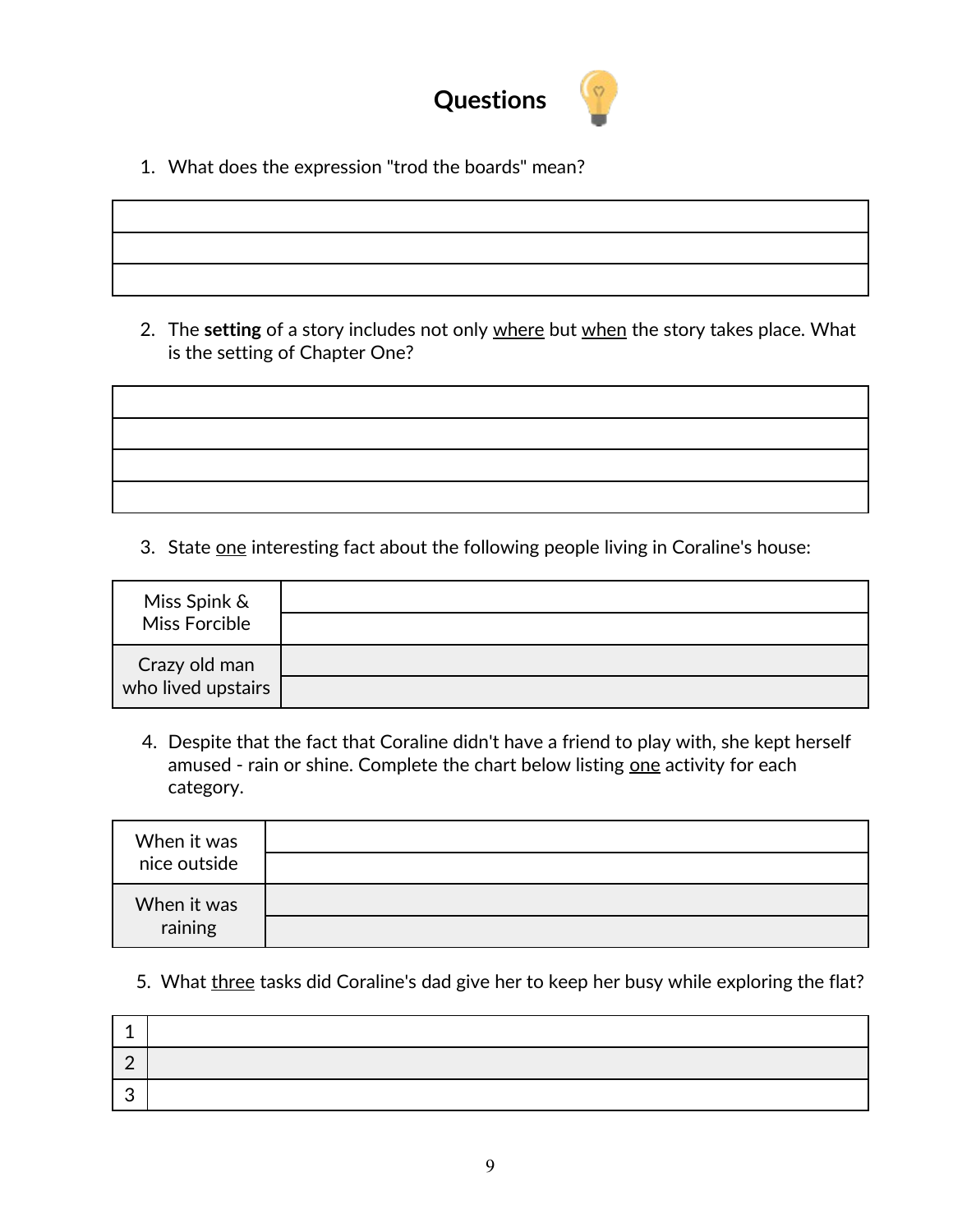

1. What does the expression "trod the boards" mean?

2. The **setting** of a story includes not only where but when the story takes place. What is the setting of Chapter One?

3. State one interesting fact about the following people living in Coraline's house:

| Miss Spink &<br>Miss Forcible       |  |
|-------------------------------------|--|
| Crazy old man<br>who lived upstairs |  |

4. Despite that the fact that Coraline didn't have a friend to play with, she kept herself amused - rain or shine. Complete the chart below listing one activity for each category.

| When it was<br>nice outside |  |
|-----------------------------|--|
| When it was<br>raining      |  |

5. What three tasks did Coraline's dad give her to keep her busy while exploring the flat?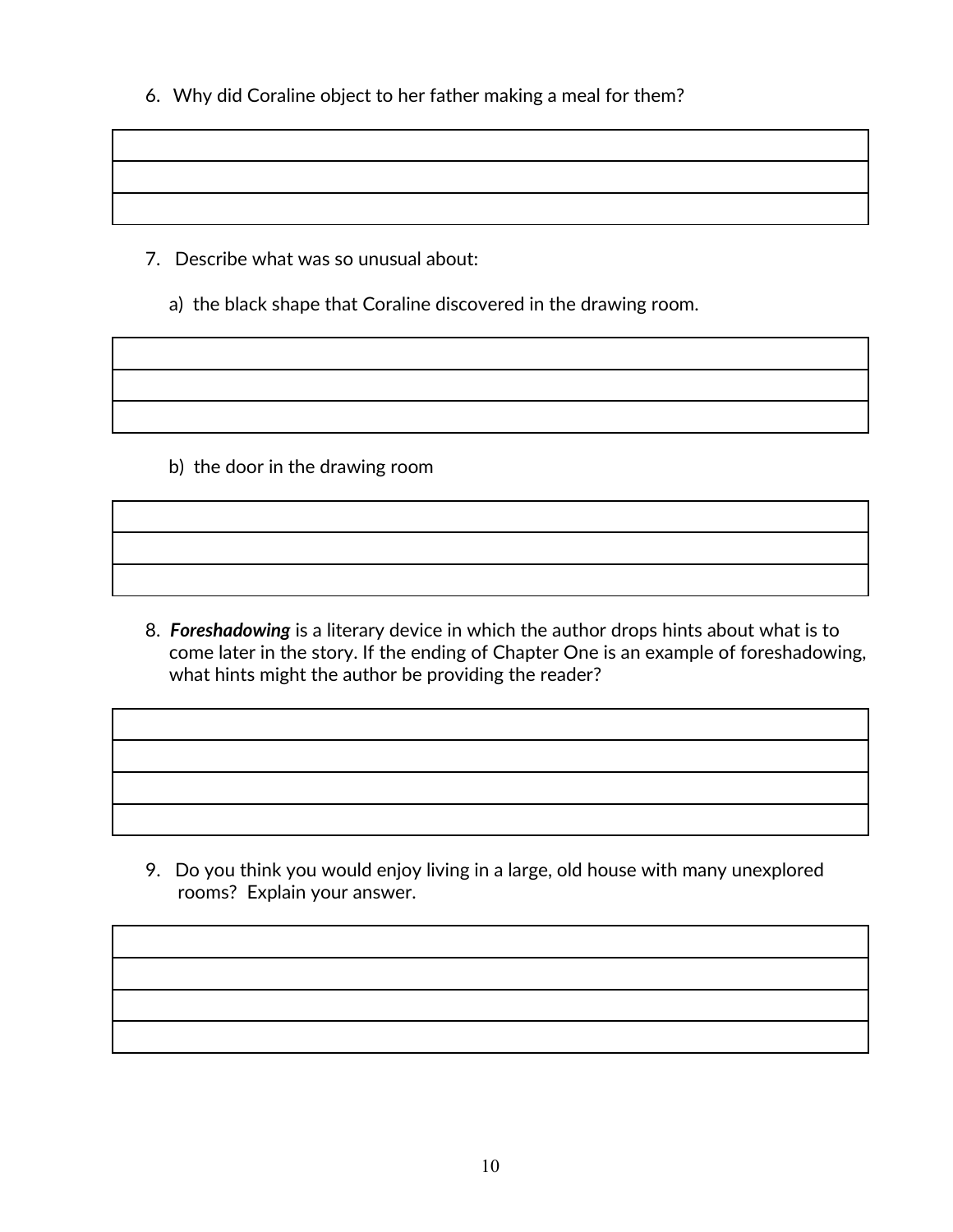6. Why did Coraline object to her father making a meal for them?

- 7. Describe what was so unusual about:
	- a) the black shape that Coraline discovered in the drawing room.

b) the door in the drawing room

8. *Foreshadowing* is a literary device in which the author drops hints about what is to come later in the story. If the ending of Chapter One is an example of foreshadowing, what hints might the author be providing the reader?

 9. Do you think you would enjoy living in a large, old house with many unexplored rooms? Explain your answer.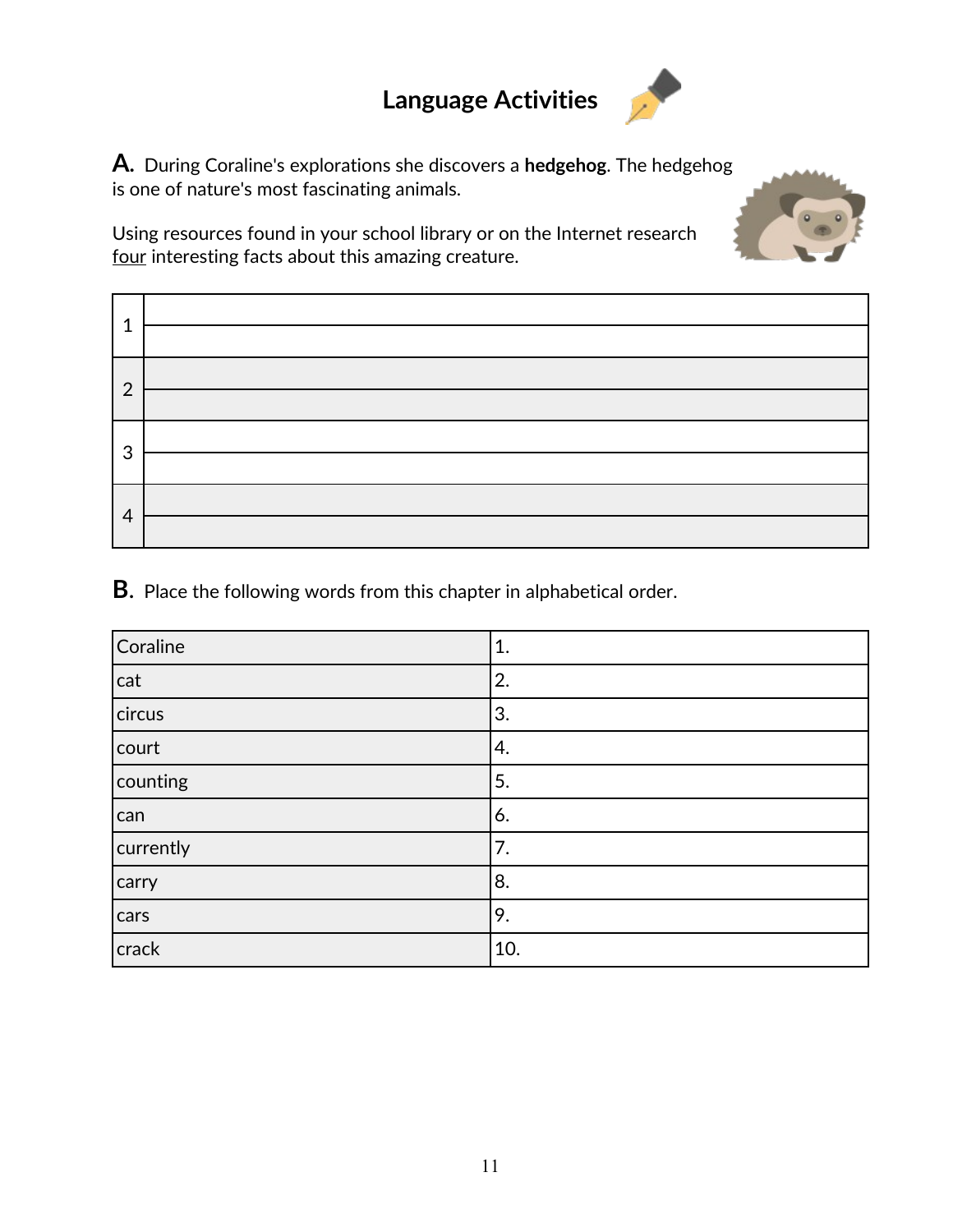## **Language Activities**

**A.**During Coraline's explorations she discovers a **hedgehog**. The hedgehog is one of nature's most fascinating animals.

 $\bullet$ 

Using resources found in your school library or on the Internet research four interesting facts about this amazing creature.

| ◢              |  |
|----------------|--|
| $\overline{2}$ |  |
| 3              |  |
| 4              |  |

**B**. Place the following words from this chapter in alphabetical order.

| Coraline  | 1.  |
|-----------|-----|
| cat       | 2.  |
| circus    | 3.  |
| court     | 4.  |
| counting  | 5.  |
| can       | 6.  |
| currently | 7.  |
| carry     | 8.  |
| cars      | 9.  |
| crack     | 10. |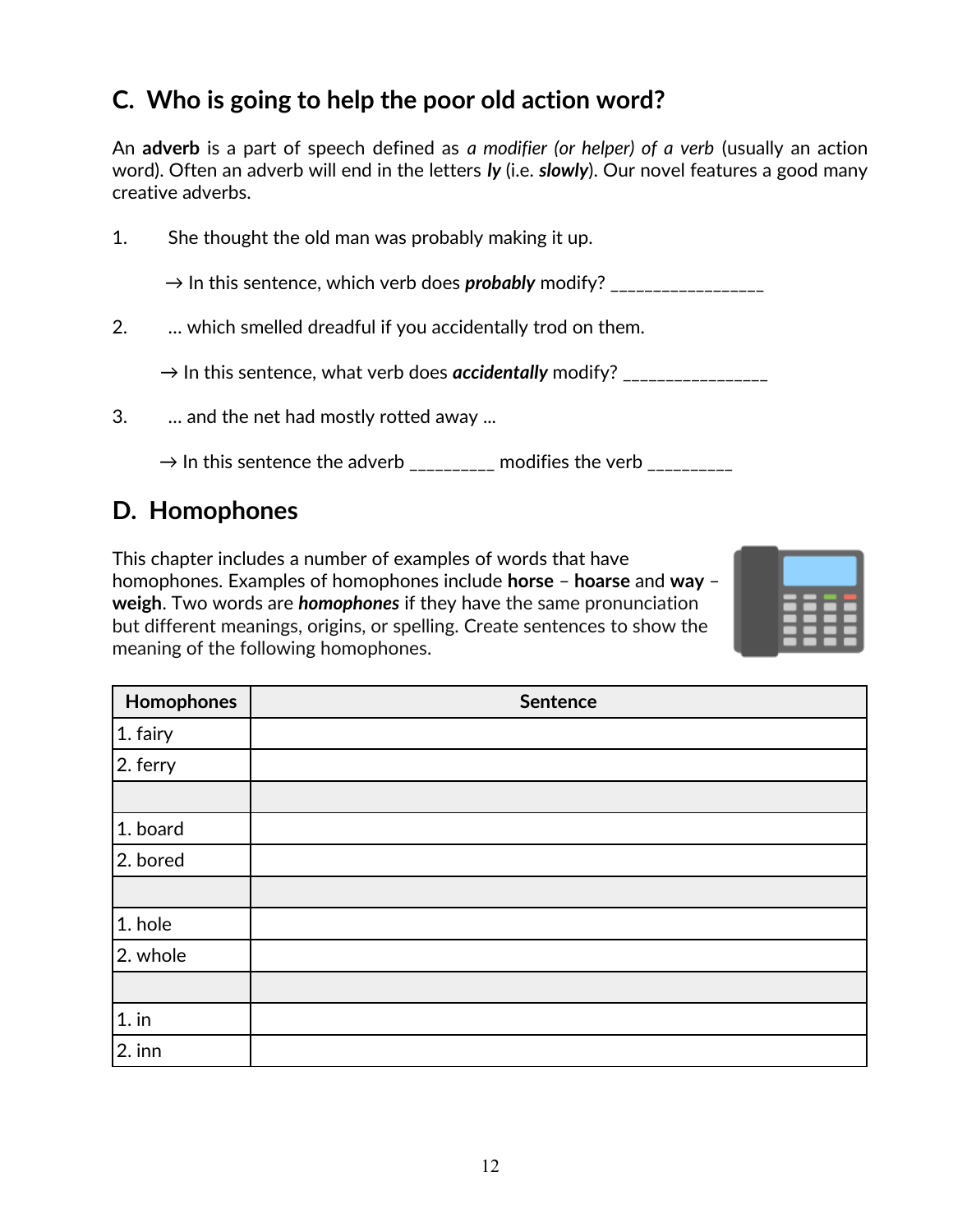### **C. Who is going to help the poor old action word?**

An **adverb** is a part of speech defined as *a modifier (or helper) of a verb* (usually an action word). Often an adverb will end in the letters *ly* (i.e. *slowly*). Our novel features a good many creative adverbs.

1. She thought the old man was probably making it up.

→ In this sentence, which verb does *probably* modify? \_\_\_\_\_\_\_\_\_\_\_\_\_\_\_\_\_\_

2. … which smelled dreadful if you accidentally trod on them.

→ In this sentence, what verb does *accidentally* modify? \_\_\_\_\_\_\_\_\_\_\_\_\_\_\_\_\_

3. … and the net had mostly rotted away ...

 $\rightarrow$  In this sentence the adverb \_\_\_\_\_\_\_\_\_\_ modifies the verb \_\_

### **D. Homophones**

This chapter includes a number of examples of words that have homophones. Examples of homophones include **horse** – **hoarse** and **way** – **weigh**. Two words are *homophones* if they have the same pronunciation but different meanings, origins, or spelling. Create sentences to show the meaning of the following homophones.



| Homophones  | Sentence |
|-------------|----------|
| 1. fairy    |          |
| $ 2.$ ferry |          |
|             |          |
| 1. board    |          |
| 2. bored    |          |
|             |          |
| 1. hole     |          |
| 2. whole    |          |
|             |          |
| $1.$ in     |          |
| $2.$ inn    |          |